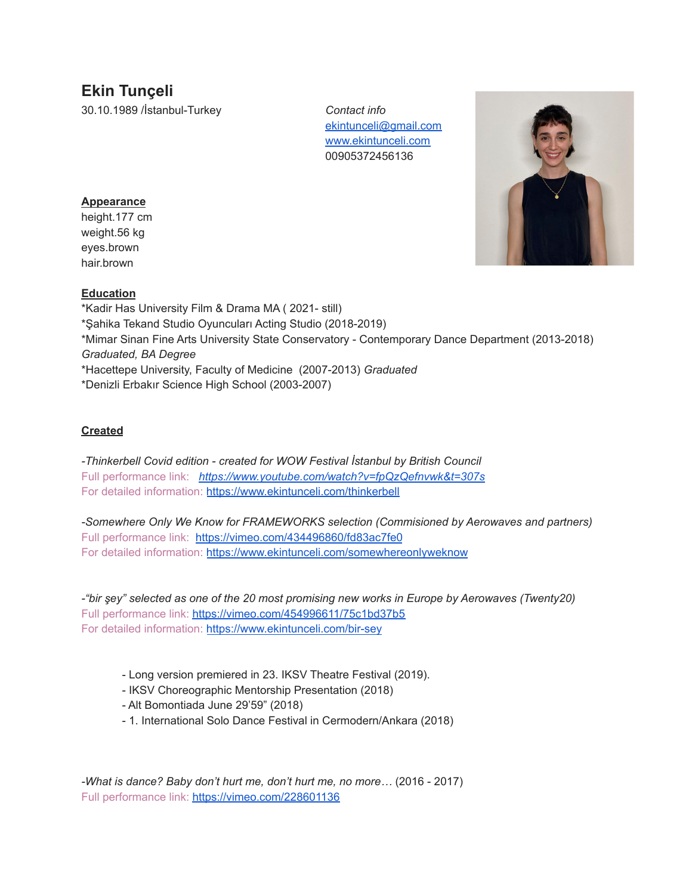# **Ekin Tunçeli**

30.10.1989 /İstanbul-Turkey *Contact info*

[ekintunceli@gmail.com](mailto:ekintunceli@gmail.com) [www.ekintunceli.com](http://www.ekintunceli.com) 00905372456136



## **Appearance**

height.177 cm weight.56 kg eyes.brown hair.brown

## **Education**

\*Kadir Has University Film & Drama MA ( 2021- still) \*Şahika Tekand Studio Oyuncuları Acting Studio (2018-2019) \*Mimar Sinan Fine Arts University State Conservatory - Contemporary Dance Department (2013-2018) *Graduated, BA Degree* \*Hacettepe University, Faculty of Medicine (2007-2013) *Graduated* \*Denizli Erbakır Science High School (2003-2007)

## **Created**

*-Thinkerbell Covid edition - created for WOW Festival İstanbul by British Council* Full performance link: *<https://www.youtube.com/watch?v=fpQzQefnvwk&t=307s>* For detailed information: <https://www.ekintunceli.com/thinkerbell>

*-Somewhere Only We Know for FRAMEWORKS selection (Commisioned by Aerowaves and partners)* Full performance link: <https://vimeo.com/434496860/fd83ac7fe0> For detailed information: <https://www.ekintunceli.com/somewhereonlyweknow>

*-"bir şey" selected as one of the 20 most promising new works in Europe by Aerowaves (Twenty20)* Full performance link: <https://vimeo.com/454996611/75c1bd37b5> For detailed information: <https://www.ekintunceli.com/bir-sey>

- Long version premiered in 23. IKSV Theatre Festival (2019).
- IKSV Choreographic Mentorship Presentation (2018)
- Alt Bomontiada June 29'59" (2018)
- 1. International Solo Dance Festival in Cermodern/Ankara (2018)

*-What is dance? Baby don't hurt me, don't hurt me, no more…* (2016 - 2017) Full performance link: <https://vimeo.com/228601136>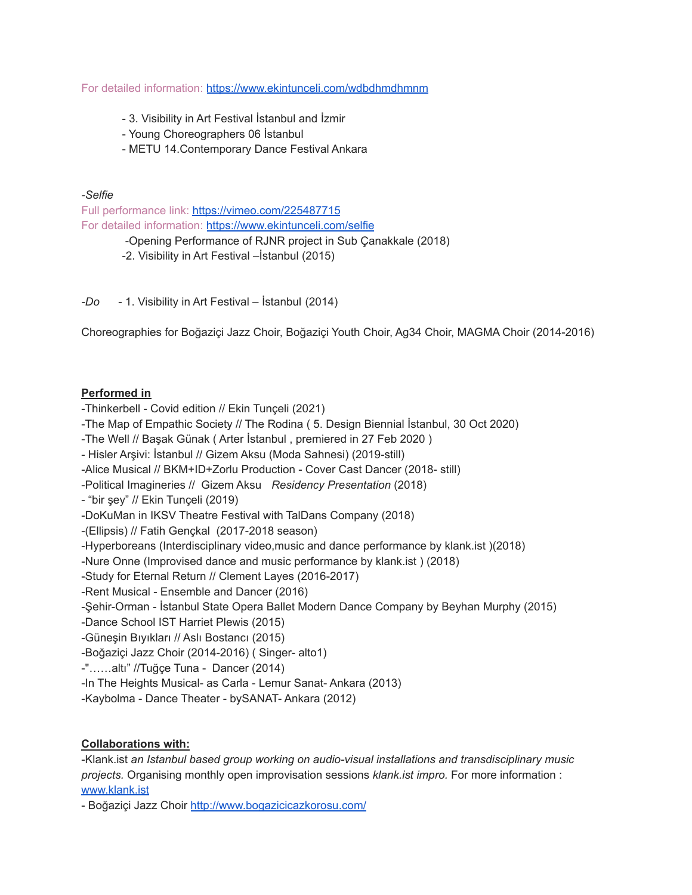For detailed information: <https://www.ekintunceli.com/wdbdhmdhmnm>

- 3. Visibility in Art Festival İstanbul and İzmir
- Young Choreographers 06 İstanbul
- METU 14.Contemporary Dance Festival Ankara
- *-Selfie*

Full performance link: <https://vimeo.com/225487715> For detailed information: <https://www.ekintunceli.com/selfie> -Opening Performance of RJNR project in Sub Çanakkale (2018)

-2. Visibility in Art Festival –İstanbul (2015)

*-Do* - 1. Visibility in Art Festival – İstanbul (2014)

Choreographies for Boğaziçi Jazz Choir, Boğaziçi Youth Choir, Ag34 Choir, MAGMA Choir (2014-2016)

### **Performed in**

-Thinkerbell - Covid edition // Ekin Tunçeli (2021)

-The Map of Empathic Society // The Rodina ( 5. Design Biennial İstanbul, 30 Oct 2020)

-The Well // Başak Günak ( Arter İstanbul , premiered in 27 Feb 2020 )

- Hisler Arşivi: İstanbul // Gizem Aksu (Moda Sahnesi) (2019-still)

-Alice Musical // BKM+ID+Zorlu Production - Cover Cast Dancer (2018- still)

- -Political Imagineries // Gizem Aksu *Residency Presentation* (2018)
- "bir şey" // Ekin Tunçeli (2019)

-DoKuMan in IKSV Theatre Festival with TalDans Company (2018)

-(Ellipsis) // Fatih Gençkal (2017-2018 season)

-Hyperboreans (Interdisciplinary video,music and dance performance by klank.ist )(2018)

-Nure Onne (Improvised dance and music performance by klank.ist ) (2018)

-Study for Eternal Return // Clement Layes (2016-2017)

- -Rent Musical Ensemble and Dancer (2016)
- -Şehir-Orman İstanbul State Opera Ballet Modern Dance Company by Beyhan Murphy (2015)
- -Dance School IST Harriet Plewis (2015)
- -Güneşin Bıyıkları // Aslı Bostancı (2015)

-Boğaziçi Jazz Choir (2014-2016) ( Singer- alto1)

- -"……altı" //Tuğçe Tuna Dancer (2014)
- -In The Heights Musical- as Carla Lemur Sanat- Ankara (2013)
- -Kaybolma Dance Theater bySANAT- Ankara (2012)

### **Collaborations with:**

-Klank.ist *an Istanbul based group working on audio-visual installations and transdisciplinary music projects.* Organising monthly open improvisation sessions *klank.ist impro.* For more information : [www.klank.ist](http://www.klank.ist)

- Boğaziçi Jazz Choir <http://www.bogazicicazkorosu.com/>